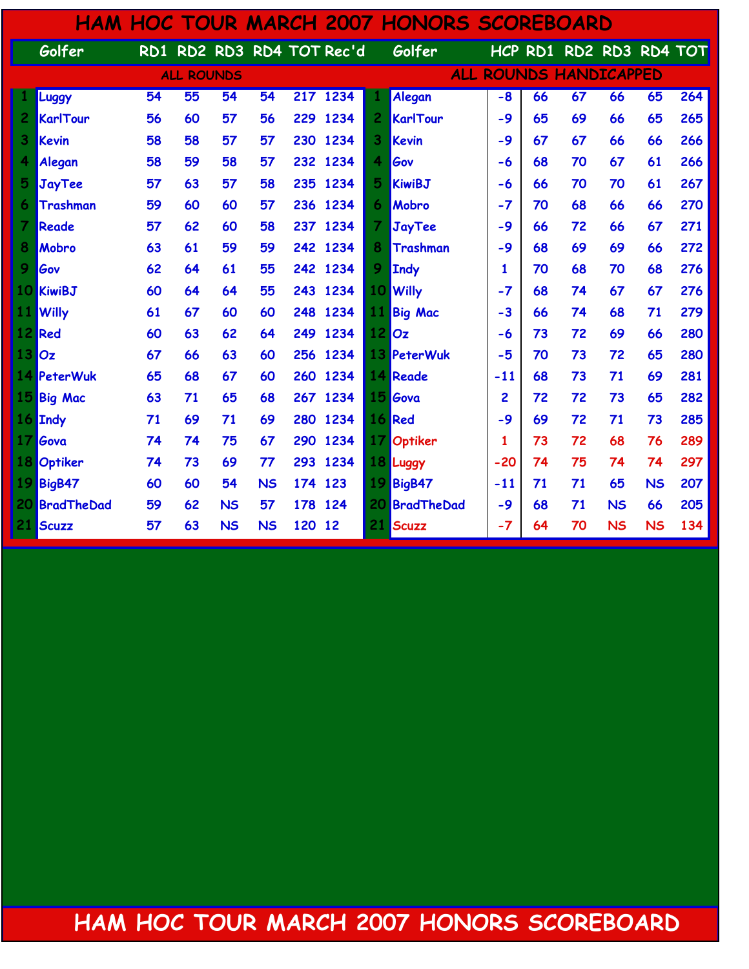|     |                   |                   |                 |                 |                        |         |                           |                          | <b>HAM HOC TOUR MARCH 2007 HONORS SCOREBOARD</b> |              |    |                         |           |           |     |
|-----|-------------------|-------------------|-----------------|-----------------|------------------------|---------|---------------------------|--------------------------|--------------------------------------------------|--------------|----|-------------------------|-----------|-----------|-----|
|     | Golfer            |                   |                 |                 |                        |         | RD1 RD2 RD3 RD4 TOT Rec'd |                          | Golfer                                           |              |    | HCP RD1 RD2 RD3 RD4 TOT |           |           |     |
|     |                   | <b>ALL ROUNDS</b> |                 |                 | ALL ROUNDS HANDICAPPED |         |                           |                          |                                                  |              |    |                         |           |           |     |
|     | Luggy             | 54                | $\overline{55}$ | $\overline{54}$ | 54                     |         | 217 1234                  |                          | Alegan                                           | $-8$         | 66 | 67                      | 66        | 65        | 264 |
| 2   | KarlTour          | 56                | 60              | 57              | 56                     | 229     | 1234                      | $\overline{c}$           | <b>KarlTour</b>                                  | $-9$         | 65 | 69                      | 66        | 65        | 265 |
| 3   | <b>Kevin</b>      | 58                | 58              | 57              | 57                     | 230     | 1234                      | 3                        | Kevin                                            | -9           | 67 | 67                      | 66        | 66        | 266 |
|     | Alegan            | 58                | 59              | 58              | 57                     | 232     | 1234                      | 4                        | Gov                                              | -6           | 68 | 70                      | 67        | 61        | 266 |
| 5   | JayTee            | 57                | 63              | 57              | 58                     | 235     | 1234                      | 5                        | <b>KiwiBJ</b>                                    | -6           | 66 | 70                      | 70        | 61        | 267 |
| 6   | Trashman          | 59                | 60              | 60              | 57                     | 236     | 1234                      | 6                        | Mobro                                            | $-7$         | 70 | 68                      | 66        | 66        | 270 |
| 7   | Reade             | 57                | 62              | 60              | 58                     | 237     | 1234                      | $\overline{\mathcal{I}}$ | <b>JayTee</b>                                    | $-9$         | 66 | 72                      | 66        | 67        | 271 |
| 8   | Mobro             | 63                | 61              | 59              | 59                     | 242     | 1234                      | 8                        | Trashman                                         | -9           | 68 | 69                      | 69        | 66        | 272 |
| 9   | Gov               | 62                | 64              | 61              | 55                     | 242     | 1234                      | 9                        | Indy                                             | $\mathbf{1}$ | 70 | 68                      | 70        | 68        | 276 |
| 10  | <b>KiwiBJ</b>     | 60                | 64              | 64              | 55                     | 243     | 1234                      | 10                       | <b>Willy</b>                                     | $-7$         | 68 | 74                      | 67        | 67        | 276 |
| 11  | <b>Willy</b>      | 61                | 67              | 60              | 60                     | 248     | 1234                      | 11                       | <b>Big Mac</b>                                   | $-3$         | 66 | 74                      | 68        | 71        | 279 |
| 12  | Red               | 60                | 63              | 62              | 64                     | 249     | 1234                      | 12                       | Oz                                               | -6           | 73 | 72                      | 69        | 66        | 280 |
| 13  | Oz                | 67                | 66              | 63              | 60                     | 256     | 1234                      | 13                       | PeterWuk                                         | -5           | 70 | 73                      | 72        | 65        | 280 |
|     | 14 PeterWuk       | 65                | 68              | 67              | 60                     | 260     | 1234                      |                          | <b>14 Reade</b>                                  | $-11$        | 68 | 73                      | 71        | 69        | 281 |
| 15  | <b>Big Mac</b>    | 63                | 71              | 65              | 68                     | 267     | 1234                      | 15                       | Gova                                             | 2            | 72 | 72                      | 73        | 65        | 282 |
|     | 16 Indy           | 71                | 69              | 71              | 69                     | 280     | 1234                      |                          | 16 Red                                           | $-9$         | 69 | 72                      | 71        | 73        | 285 |
| 17  | Gova              | 74                | 74              | 75              | 67                     | 290     | 1234                      | 17                       | <b>Optiker</b>                                   | 1            | 73 | 72                      | 68        | 76        | 289 |
| 18  | Optiker           | 74                | 73              | 69              | 77                     | 293     | 1234                      |                          | 18 Luggy                                         | $-20$        | 74 | 75                      | 74        | 74        | 297 |
| 19  | BigB47            | 60                | 60              | 54              | <b>NS</b>              | 174 123 |                           | 19                       | <b>BigB47</b>                                    | $-11$        | 71 | 71                      | 65        | <b>NS</b> | 207 |
| 201 | <b>BradTheDad</b> | 59                | 62              | <b>NS</b>       | 57                     | 178 124 |                           | 20                       | <b>BradTheDad</b>                                | $-9$         | 68 | 71                      | <b>NS</b> | 66        | 205 |
| 21  | Scuzz             | 57                | 63              | <b>NS</b>       | <b>NS</b>              | 120 12  |                           | 21                       | Scuzz                                            | $-7$         | 64 | 70                      | <b>NS</b> | <b>NS</b> | 134 |

HAM HOC TOUR MARCH 2007 HONORS SCOREBOARD